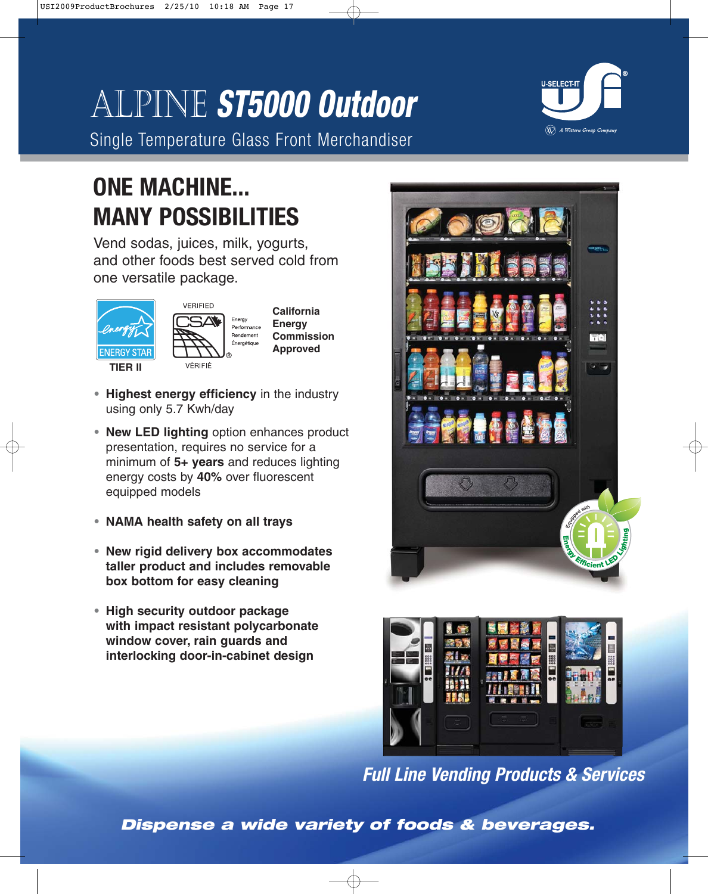# Alpine **ST5000 Outdoor**

Single Temperature Glass Front Merchandiser



## **ONE MACHINE... MANY POSSIBILITIES**

Vend sodas, juices, milk, yogurts, and other foods best served cold from one versatile package.





**California Energy Commission Approved**

- **• Highest energy efficiency** in the industry using only 5.7 Kwh/day
- **• New LED lighting** option enhances product presentation, requires no service for a minimum of **5+ years** and reduces lighting energy costs by **40%** over fluorescent equipped models
- **• NAMA health safety on all trays**
- **• New rigid delivery box accommodates taller product and includes removable box bottom for easy cleaning**
- **• High security outdoor package with impact resistant polycarbonate window cover, rain guards and interlocking door-in-cabinet design**





**Full Line Vending Products & Services**

**Dispense a wide variety of foods & beverages.**